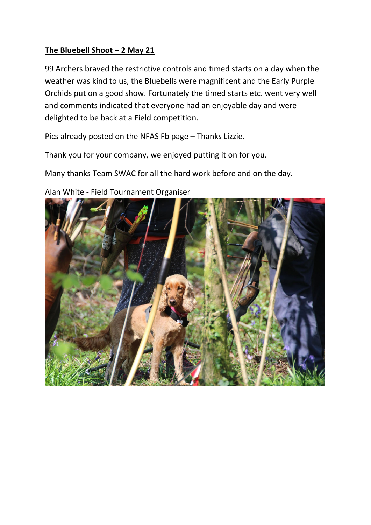## **The Bluebell Shoot – 2 May 21**

99 Archers braved the restrictive controls and timed starts on a day when the weather was kind to us, the Bluebells were magnificent and the Early Purple Orchids put on a good show. Fortunately the timed starts etc. went very well and comments indicated that everyone had an enjoyable day and were delighted to be back at a Field competition.

Pics already posted on the NFAS Fb page – Thanks Lizzie.

Thank you for your company, we enjoyed putting it on for you.

Many thanks Team SWAC for all the hard work before and on the day.

Alan White ‐ Field Tournament Organiser

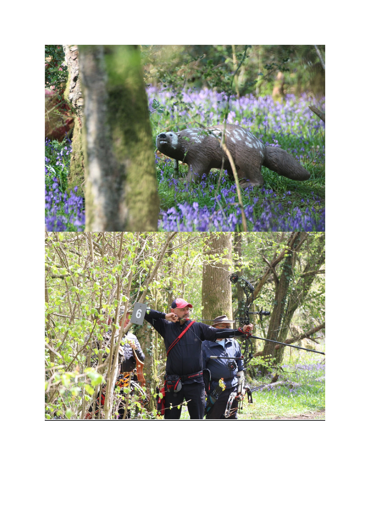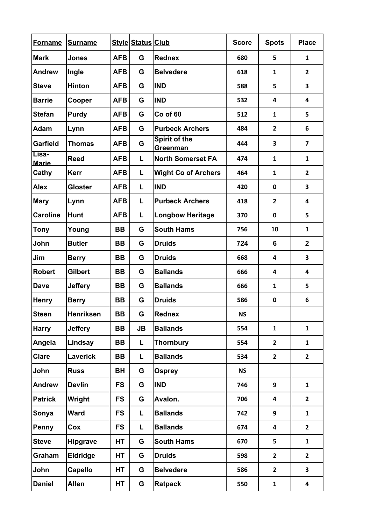| <b>Forname</b>        | <b>Surname</b>  |            | Style Status Club |                            | <b>Score</b> | <b>Spots</b>            | <b>Place</b>            |
|-----------------------|-----------------|------------|-------------------|----------------------------|--------------|-------------------------|-------------------------|
| <b>Mark</b>           | <b>Jones</b>    | <b>AFB</b> | G                 | <b>Rednex</b>              | 680          | 5                       | $\mathbf{1}$            |
| <b>Andrew</b>         | Ingle           | <b>AFB</b> | G                 | <b>Belvedere</b>           | 618          | $\mathbf{1}$            | $\overline{2}$          |
| <b>Steve</b>          | <b>Hinton</b>   | <b>AFB</b> | G                 | <b>IND</b>                 | 588          | 5                       | 3                       |
| <b>Barrie</b>         | Cooper          | <b>AFB</b> | G                 | <b>IND</b>                 | 532          | 4                       | $\overline{\mathbf{4}}$ |
| <b>Stefan</b>         | <b>Purdy</b>    | <b>AFB</b> | G                 | Co of 60                   | 512          | $\mathbf{1}$            | 5                       |
| Adam                  | Lynn            | <b>AFB</b> | G                 | <b>Purbeck Archers</b>     | 484          | $\overline{\mathbf{2}}$ | 6                       |
| <b>Garfield</b>       | <b>Thomas</b>   | <b>AFB</b> | G                 | Spirit of the<br>Greenman  | 444          | 3                       | 7                       |
| Lisa-<br><b>Marie</b> | <b>Reed</b>     | <b>AFB</b> | L                 | <b>North Somerset FA</b>   | 474          | $\mathbf{1}$            | $\mathbf{1}$            |
| Cathy                 | <b>Kerr</b>     | <b>AFB</b> | L                 | <b>Wight Co of Archers</b> | 464          | $\mathbf{1}$            | $\overline{2}$          |
| <b>Alex</b>           | <b>Gloster</b>  | <b>AFB</b> | Г                 | <b>IND</b>                 | 420          | $\mathbf 0$             | 3                       |
| <b>Mary</b>           | Lynn            | <b>AFB</b> | L                 | <b>Purbeck Archers</b>     | 418          | $\overline{\mathbf{2}}$ | 4                       |
| <b>Caroline</b>       | <b>Hunt</b>     | <b>AFB</b> | Г                 | <b>Longbow Heritage</b>    | 370          | $\mathbf 0$             | 5                       |
| <b>Tony</b>           | Young           | <b>BB</b>  | G                 | <b>South Hams</b>          | 756          | 10                      | $\mathbf{1}$            |
| John                  | <b>Butler</b>   | <b>BB</b>  | G                 | <b>Druids</b>              | 724          | 6                       | $\overline{2}$          |
| Jim                   | <b>Berry</b>    | <b>BB</b>  | G                 | <b>Druids</b>              | 668          | 4                       | 3                       |
| <b>Robert</b>         | <b>Gilbert</b>  | <b>BB</b>  | G                 | <b>Ballands</b>            | 666          | 4                       | $\overline{\mathbf{4}}$ |
| <b>Dave</b>           | <b>Jeffery</b>  | <b>BB</b>  | G                 | <b>Ballands</b>            | 666          | $\mathbf{1}$            | 5                       |
| Henry                 | <b>Berry</b>    | <b>BB</b>  | G                 | <b>Druids</b>              | 586          | 0                       | 6                       |
| <b>Steen</b>          | Henriksen       | <b>BB</b>  | G                 | <b>Rednex</b>              | <b>NS</b>    |                         |                         |
| <b>Harry</b>          | <b>Jeffery</b>  | <b>BB</b>  | <b>JB</b>         | <b>Ballands</b>            | 554          | $\mathbf{1}$            | $\mathbf{1}$            |
| Angela                | Lindsay         | <b>BB</b>  | г                 | <b>Thornbury</b>           | 554          | $\overline{2}$          | 1                       |
| <b>Clare</b>          | <b>Laverick</b> | <b>BB</b>  | г                 | <b>Ballands</b>            | 534          | $\overline{2}$          | $\overline{2}$          |
| John                  | <b>Russ</b>     | BH         | G                 | <b>Osprey</b>              | <b>NS</b>    |                         |                         |
| <b>Andrew</b>         | <b>Devlin</b>   | <b>FS</b>  | G                 | <b>IND</b>                 | 746          | 9                       | $\mathbf{1}$            |
| <b>Patrick</b>        | Wright          | <b>FS</b>  | G                 | Avalon.                    | 706          | $\overline{\mathbf{4}}$ | $\overline{2}$          |
| Sonya                 | <b>Ward</b>     | <b>FS</b>  | г                 | <b>Ballands</b>            | 742          | 9                       | 1                       |
| <b>Penny</b>          | Cox             | <b>FS</b>  | L                 | <b>Ballands</b>            | 674          | 4                       | $\overline{2}$          |
| <b>Steve</b>          | Hipgrave        | <b>HT</b>  | G                 | <b>South Hams</b>          | 670          | 5                       | $\mathbf{1}$            |
| Graham                | <b>Eldridge</b> | HT         | G                 | <b>Druids</b>              | 598          | $\overline{2}$          | $\overline{2}$          |
| John                  | <b>Capello</b>  | НT         | G                 | <b>Belvedere</b>           | 586          | $\overline{2}$          | 3                       |
| <b>Daniel</b>         | <b>Allen</b>    | HT         | G                 | <b>Ratpack</b>             | 550          | $\mathbf{1}$            | 4                       |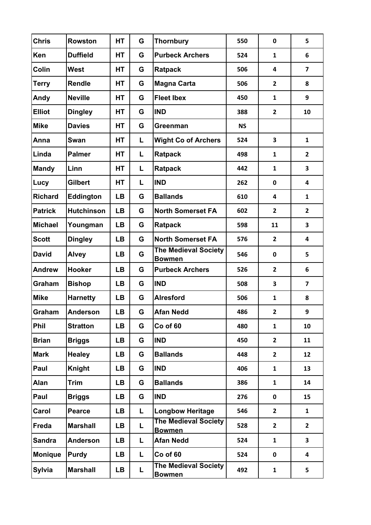| <b>Chris</b>   | <b>Rowston</b>    | <b>HT</b> | G | <b>Thornbury</b>                             | 550       | $\mathbf 0$             | 5                       |
|----------------|-------------------|-----------|---|----------------------------------------------|-----------|-------------------------|-------------------------|
| Ken            | <b>Duffield</b>   | <b>HT</b> | G | <b>Purbeck Archers</b>                       | 524       | $\mathbf{1}$            | 6                       |
| <b>Colin</b>   | <b>West</b>       | HT        | G | <b>Ratpack</b>                               | 506       | 4                       | $\overline{7}$          |
| <b>Terry</b>   | <b>Rendle</b>     | НT        | G | <b>Magna Carta</b>                           | 506       | $\mathbf{2}$            | 8                       |
| Andy           | <b>Neville</b>    | HT        | G | <b>Fleet Ibex</b>                            | 450       | $\mathbf{1}$            | 9                       |
| <b>Elliot</b>  | <b>Dingley</b>    | HT        | G | <b>IND</b>                                   | 388       | $\overline{2}$          | 10                      |
| <b>Mike</b>    | <b>Davies</b>     | HT        | G | Greenman                                     | <b>NS</b> |                         |                         |
| Anna           | Swan              | HT        | Г | <b>Wight Co of Archers</b>                   | 524       | $\overline{\mathbf{3}}$ | $\mathbf{1}$            |
| Linda          | <b>Palmer</b>     | <b>HT</b> | Г | <b>Ratpack</b>                               | 498       | $\mathbf{1}$            | $\overline{2}$          |
| <b>Mandy</b>   | Linn              | HT        | Г | <b>Ratpack</b>                               | 442       | $\mathbf{1}$            | 3                       |
| Lucy           | <b>Gilbert</b>    | <b>HT</b> | Г | <b>IND</b>                                   | 262       | 0                       | 4                       |
| <b>Richard</b> | Eddington         | <b>LB</b> | G | <b>Ballands</b>                              | 610       | $\overline{\mathbf{4}}$ | $\mathbf{1}$            |
| <b>Patrick</b> | <b>Hutchinson</b> | <b>LB</b> | G | <b>North Somerset FA</b>                     | 602       | $\overline{2}$          | $\overline{2}$          |
| <b>Michael</b> | Youngman          | <b>LB</b> | G | <b>Ratpack</b>                               | 598       | 11                      | 3                       |
| <b>Scott</b>   | <b>Dingley</b>    | <b>LB</b> | G | <b>North Somerset FA</b>                     | 576       | $\overline{2}$          | 4                       |
| <b>David</b>   | <b>Alvey</b>      | <b>LB</b> | G | <b>The Medieval Society</b><br><b>Bowmen</b> | 546       | 0                       | 5                       |
| <b>Andrew</b>  | Hooker            | <b>LB</b> | G | <b>Purbeck Archers</b>                       | 526       | $\overline{2}$          | 6                       |
| Graham         | <b>Bishop</b>     | <b>LB</b> | G | <b>IND</b>                                   | 508       | 3                       | $\overline{7}$          |
| <b>Mike</b>    | <b>Harnetty</b>   | <b>LB</b> | G | <b>Alresford</b>                             | 506       | $\mathbf{1}$            | 8                       |
| Graham         | Anderson          | LВ        | G | <b>Afan Nedd</b>                             | 486       | 2                       | 9                       |
| Phil           | <b>Stratton</b>   | <b>LB</b> | G | Co of 60                                     | 480       | $\mathbf{1}$            | 10                      |
| <b>Brian</b>   | <b>Briggs</b>     | <b>LB</b> | G | <b>IND</b>                                   | 450       | $\overline{2}$          | 11                      |
| <b>Mark</b>    | <b>Healey</b>     | <b>LB</b> | G | <b>Ballands</b>                              | 448       | $\mathbf{2}$            | 12                      |
| Paul           | Knight            | <b>LB</b> | G | <b>IND</b>                                   | 406       | $\mathbf{1}$            | 13                      |
| Alan           | <b>Trim</b>       | <b>LB</b> | G | <b>Ballands</b>                              | 386       | $\mathbf{1}$            | 14                      |
| Paul           | <b>Briggs</b>     | <b>LB</b> | G | <b>IND</b>                                   | 276       | $\mathbf 0$             | 15                      |
| Carol          | <b>Pearce</b>     | <b>LB</b> | Г | <b>Longbow Heritage</b>                      | 546       | $\overline{2}$          | $\mathbf{1}$            |
| Freda          | <b>Marshall</b>   | <b>LB</b> | Г | <b>The Medieval Society</b><br><b>Bowmen</b> | 528       | $\overline{2}$          | $\overline{2}$          |
| <b>Sandra</b>  | <b>Anderson</b>   | <b>LB</b> | Г | <b>Afan Nedd</b>                             | 524       | $\mathbf{1}$            | 3                       |
| <b>Monique</b> | <b>Purdy</b>      | <b>LB</b> | Г | Co of 60                                     | 524       | 0                       | $\overline{\mathbf{4}}$ |
| <b>Sylvia</b>  | <b>Marshall</b>   | <b>LB</b> | L | <b>The Medieval Society</b><br><b>Bowmen</b> | 492       | $\mathbf{1}$            | 5                       |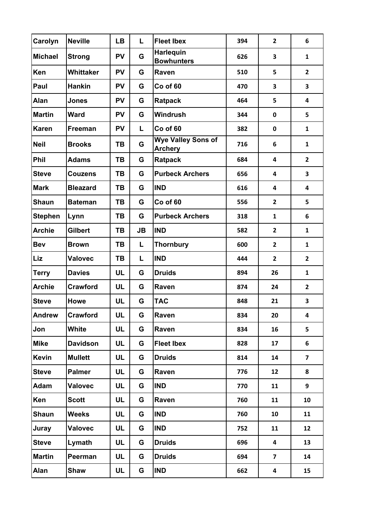| Carolyn        | <b>Neville</b>  | <b>LB</b> | L  | <b>Fleet Ibex</b>                    | 394 | $\overline{2}$          | 6              |
|----------------|-----------------|-----------|----|--------------------------------------|-----|-------------------------|----------------|
| <b>Michael</b> | <b>Strong</b>   | <b>PV</b> | G  | Harlequin<br><b>Bowhunters</b>       | 626 | 3                       | $\mathbf{1}$   |
| Ken            | Whittaker       | <b>PV</b> | G  | Raven                                | 510 | 5                       | $\overline{2}$ |
| Paul           | <b>Hankin</b>   | <b>PV</b> | G  | Co of 60                             | 470 | 3                       | 3              |
| Alan           | <b>Jones</b>    | <b>PV</b> | G  | <b>Ratpack</b>                       | 464 | 5                       | 4              |
| <b>Martin</b>  | <b>Ward</b>     | <b>PV</b> | G  | Windrush                             | 344 | 0                       | 5              |
| <b>Karen</b>   | <b>Freeman</b>  | <b>PV</b> | Г  | Co of 60                             | 382 | 0                       | $\mathbf{1}$   |
| <b>Neil</b>    | <b>Brooks</b>   | TB        | G  | Wye Valley Sons of<br><b>Archery</b> | 716 | 6                       | $\mathbf{1}$   |
| Phil           | <b>Adams</b>    | TB        | G  | <b>Ratpack</b>                       | 684 | 4                       | $\overline{2}$ |
| <b>Steve</b>   | <b>Couzens</b>  | TB        | G  | <b>Purbeck Archers</b>               | 656 | 4                       | 3              |
| <b>Mark</b>    | <b>Bleazard</b> | TB        | G  | <b>IND</b>                           | 616 | 4                       | 4              |
| <b>Shaun</b>   | <b>Bateman</b>  | TB        | G  | Co of 60                             | 556 | $\mathbf{2}$            | 5              |
| <b>Stephen</b> | Lynn            | TB        | G  | <b>Purbeck Archers</b>               | 318 | $\mathbf{1}$            | 6              |
| <b>Archie</b>  | <b>Gilbert</b>  | <b>TB</b> | JB | <b>IND</b>                           | 582 | $\mathbf{2}$            | $\mathbf{1}$   |
| <b>Bev</b>     | <b>Brown</b>    | TB        | Г  | <b>Thornbury</b>                     | 600 | $\overline{2}$          | $\mathbf{1}$   |
| Liz            | <b>Valovec</b>  | TB        | Г  | <b>IND</b>                           | 444 | $\mathbf{2}$            | $\overline{2}$ |
| <b>Terry</b>   | <b>Davies</b>   | <b>UL</b> | G  | <b>Druids</b>                        | 894 | 26                      | $\mathbf{1}$   |
| <b>Archie</b>  | <b>Crawford</b> | <b>UL</b> | G  | Raven                                | 874 | 24                      | $\overline{2}$ |
| <b>Steve</b>   | Howe            | UL        | G  | <b>TAC</b>                           | 848 | 21                      | 3              |
| <b>Andrew</b>  | <b>Crawford</b> | UL        | G  | Raven                                | 834 | 20                      | 4              |
| Jon            | <b>White</b>    | <b>UL</b> | G  | Raven                                | 834 | 16                      | 5              |
| <b>Mike</b>    | <b>Davidson</b> | <b>UL</b> | G  | <b>Fleet lbex</b>                    | 828 | 17                      | 6              |
| <b>Kevin</b>   | <b>Mullett</b>  | <b>UL</b> | G  | <b>Druids</b>                        | 814 | 14                      | $\overline{7}$ |
| <b>Steve</b>   | <b>Palmer</b>   | <b>UL</b> | G  | Raven                                | 776 | 12                      | 8              |
| <b>Adam</b>    | <b>Valovec</b>  | <b>UL</b> | G  | <b>IND</b>                           | 770 | 11                      | 9              |
| Ken            | <b>Scott</b>    | <b>UL</b> | G  | Raven                                | 760 | 11                      | 10             |
| <b>Shaun</b>   | <b>Weeks</b>    | <b>UL</b> | G  | <b>IND</b>                           | 760 | 10                      | 11             |
| Juray          | <b>Valovec</b>  | <b>UL</b> | G  | <b>IND</b>                           | 752 | 11                      | 12             |
| <b>Steve</b>   | Lymath          | <b>UL</b> | G  | <b>Druids</b>                        | 696 | 4                       | 13             |
| <b>Martin</b>  | Peerman         | <b>UL</b> | G  | <b>Druids</b>                        | 694 | $\overline{\mathbf{z}}$ | 14             |
| Alan           | <b>Shaw</b>     | <b>UL</b> | G  | <b>IND</b>                           | 662 | $\overline{\mathbf{4}}$ | 15             |